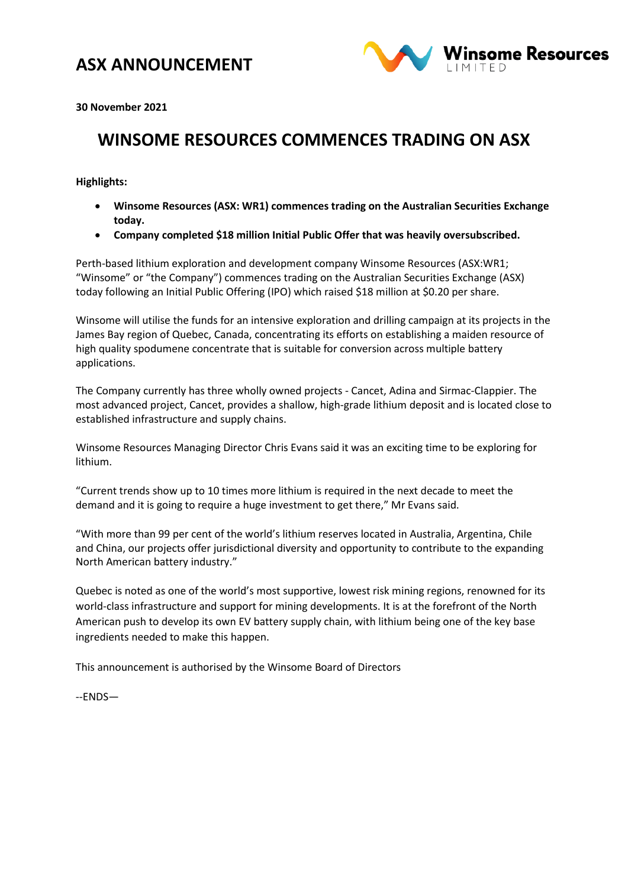### **ASX ANNOUNCEMENT**



**30 November 2021** 

# **WINSOME RESOURCES COMMENCES TRADING ON ASX**

**Highlights:**

- **Winsome Resources (ASX: WR1) commences trading on the Australian Securities Exchange today.**
- **Company completed \$18 million Initial Public Offer that was heavily oversubscribed.**

Perth-based lithium exploration and development company Winsome Resources (ASX:WR1; "Winsome" or "the Company") commences trading on the Australian Securities Exchange (ASX) today following an Initial Public Offering (IPO) which raised \$18 million at \$0.20 per share.

Winsome will utilise the funds for an intensive exploration and drilling campaign at its projects in the James Bay region of Quebec, Canada, concentrating its efforts on establishing a maiden resource of high quality spodumene concentrate that is suitable for conversion across multiple battery applications.

The Company currently has three wholly owned projects - Cancet, Adina and Sirmac-Clappier. The most advanced project, Cancet, provides a shallow, high-grade lithium deposit and is located close to established infrastructure and supply chains.

Winsome Resources Managing Director Chris Evans said it was an exciting time to be exploring for lithium.

"Current trends show up to 10 times more lithium is required in the next decade to meet the demand and it is going to require a huge investment to get there," Mr Evans said.

"With more than 99 per cent of the world's lithium reserves located in Australia, Argentina, Chile and China, our projects offer jurisdictional diversity and opportunity to contribute to the expanding North American battery industry."

Quebec is noted as one of the world's most supportive, lowest risk mining regions, renowned for its world-class infrastructure and support for mining developments. It is at the forefront of the North American push to develop its own EV battery supply chain, with lithium being one of the key base ingredients needed to make this happen.

This announcement is authorised by the Winsome Board of Directors

--ENDS—